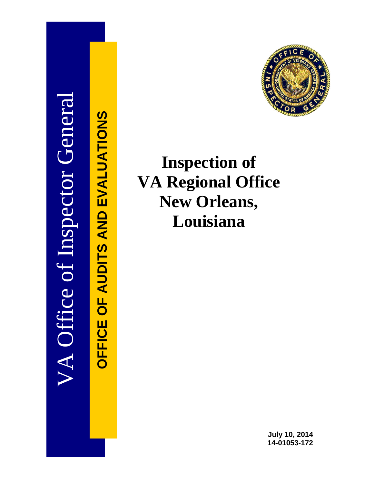# VA Office of Inspector General **OFFICE OF AUDITS AND EVALUATIONS**



# **Inspection of VA Regional Office New Orleans, Louisiana**

**July 10, 2014 14-01053-172**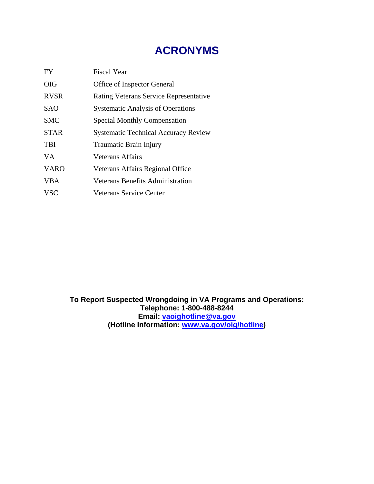# **ACRONYMS**

| <b>FY</b>   | <b>Fiscal Year</b>                            |
|-------------|-----------------------------------------------|
| <b>OIG</b>  | <b>Office of Inspector General</b>            |
| <b>RVSR</b> | <b>Rating Veterans Service Representative</b> |
| <b>SAO</b>  | <b>Systematic Analysis of Operations</b>      |
| <b>SMC</b>  | <b>Special Monthly Compensation</b>           |
| <b>STAR</b> | <b>Systematic Technical Accuracy Review</b>   |
| <b>TBI</b>  | Traumatic Brain Injury                        |
| VA.         | Veterans Affairs                              |
| <b>VARO</b> | Veterans Affairs Regional Office              |
| <b>VBA</b>  | <b>Veterans Benefits Administration</b>       |
| <b>VSC</b>  | Veterans Service Center                       |

**To Report Suspected Wrongdoing in VA Programs and Operations: Telephone: 1-800-488-8244 Email: [vaoighotline@va.gov](mailto:vaoighotline@va.gov) (Hotline Information: [www.va.gov/oig/hotline\)](http://www.va.gov/oig/hotline)**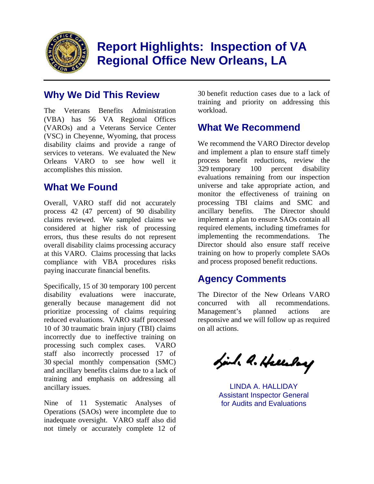

# **Report Highlights: Inspection of VA Regional Office New Orleans, LA**

## **Why We Did This Review**

The Veterans Benefits Administration (VBA) has 56 VA Regional Offices (VAROs) and a Veterans Service Center (VSC) in Cheyenne, Wyoming, that process disability claims and provide a range of services to veterans. We evaluated the New Orleans VARO to see how well it accomplishes this mission.

# **What We Found**

Overall, VARO staff did not accurately process 42 (47 percent) of 90 disability claims reviewed. We sampled claims we considered at higher risk of processing errors, thus these results do not represent overall disability claims processing accuracy at this VARO. Claims processing that lacks compliance with VBA procedures risks paying inaccurate financial benefits.

Specifically, 15 of 30 temporary 100 percent disability evaluations were inaccurate, generally because management did not prioritize processing of claims requiring reduced evaluations. VARO staff processed 10 of 30 traumatic brain injury (TBI) claims incorrectly due to ineffective training on processing such complex cases. VARO staff also incorrectly processed 17 of 30 special monthly compensation (SMC) and ancillary benefits claims due to a lack of training and emphasis on addressing all ancillary issues.

Nine of 11 Systematic Analyses of Operations (SAOs) were incomplete due to inadequate oversight. VARO staff also did not timely or accurately complete 12 of

30 benefit reduction cases due to a lack of training and priority on addressing this workload.

## **What We Recommend**

We recommend the VARO Director develop and implement a plan to ensure staff timely process benefit reductions, review the 329 temporary 100 percent disability evaluations remaining from our inspection universe and take appropriate action, and monitor the effectiveness of training on processing TBI claims and SMC and ancillary benefits. The Director should implement a plan to ensure SAOs contain all required elements, including timeframes for implementing the recommendations. The Director should also ensure staff receive training on how to properly complete SAOs and process proposed benefit reductions.

# **Agency Comments**

The Director of the New Orleans VARO concurred with all recommendations. Management's planned actions are responsive and we will follow up as required on all actions.

Link A. Hellebey

LINDA A. HALLIDAY Assistant Inspector General for Audits and Evaluations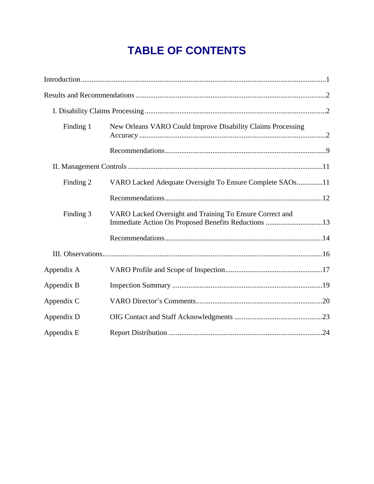# **TABLE OF CONTENTS**

| Finding 1  | New Orleans VARO Could Improve Disability Claims Processing                                                     |  |
|------------|-----------------------------------------------------------------------------------------------------------------|--|
|            |                                                                                                                 |  |
|            |                                                                                                                 |  |
| Finding 2  | VARO Lacked Adequate Oversight To Ensure Complete SAOs11                                                        |  |
|            |                                                                                                                 |  |
| Finding 3  | VARO Lacked Oversight and Training To Ensure Correct and<br>Immediate Action On Proposed Benefits Reductions 13 |  |
|            |                                                                                                                 |  |
|            |                                                                                                                 |  |
| Appendix A |                                                                                                                 |  |
| Appendix B |                                                                                                                 |  |
| Appendix C |                                                                                                                 |  |
| Appendix D |                                                                                                                 |  |
| Appendix E |                                                                                                                 |  |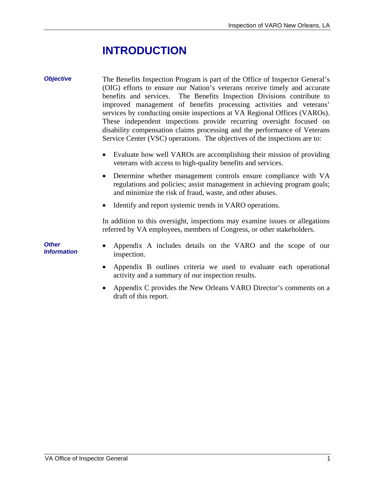# **INTRODUCTION**

draft of this report.

<span id="page-4-0"></span>

| <b>Objective</b>                          | The Benefits Inspection Program is part of the Office of Inspector General's<br>(OIG) efforts to ensure our Nation's veterans receive timely and accurate<br>benefits and services. The Benefits Inspection Divisions contribute to<br>improved management of benefits processing activities and veterans'<br>services by conducting onsite inspections at VA Regional Offices (VAROs).<br>These independent inspections provide recurring oversight focused on<br>disability compensation claims processing and the performance of Veterans<br>Service Center (VSC) operations. The objectives of the inspections are to: |
|-------------------------------------------|----------------------------------------------------------------------------------------------------------------------------------------------------------------------------------------------------------------------------------------------------------------------------------------------------------------------------------------------------------------------------------------------------------------------------------------------------------------------------------------------------------------------------------------------------------------------------------------------------------------------------|
|                                           | Evaluate how well VAROs are accomplishing their mission of providing<br>veterans with access to high-quality benefits and services.                                                                                                                                                                                                                                                                                                                                                                                                                                                                                        |
|                                           | Determine whether management controls ensure compliance with VA<br>$\bullet$<br>regulations and policies; assist management in achieving program goals;<br>and minimize the risk of fraud, waste, and other abuses.                                                                                                                                                                                                                                                                                                                                                                                                        |
|                                           | Identify and report systemic trends in VARO operations.                                                                                                                                                                                                                                                                                                                                                                                                                                                                                                                                                                    |
|                                           | In addition to this oversight, inspections may examine issues or allegations<br>referred by VA employees, members of Congress, or other stakeholders.                                                                                                                                                                                                                                                                                                                                                                                                                                                                      |
| <b>Other</b><br><i><b>Information</b></i> | Appendix A includes details on the VARO and the scope of our<br>inspection.                                                                                                                                                                                                                                                                                                                                                                                                                                                                                                                                                |
|                                           | Appendix B outlines criteria we used to evaluate each operational<br>activity and a summary of our inspection results.                                                                                                                                                                                                                                                                                                                                                                                                                                                                                                     |
|                                           | Appendix C provides the New Orleans VARO Director's comments on a                                                                                                                                                                                                                                                                                                                                                                                                                                                                                                                                                          |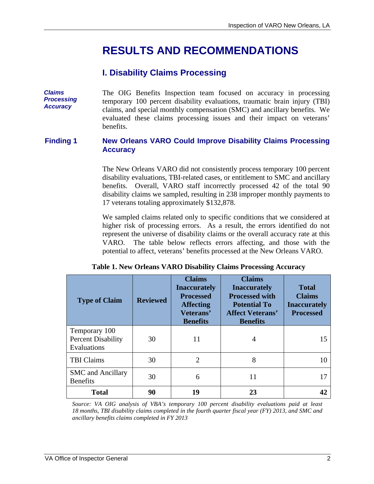# **RESULTS AND RECOMMENDATIONS**

## **I. Disability Claims Processing**

<span id="page-5-0"></span>**Claims** The OIG Benefits Inspection team focused on accuracy in processing<br>**Processing** temporary 100 percent disability evaluations traumatic brain injury (TBI) **Processing temporary 100 percent disability evaluations, traumatic brain injury (TBI)** *claims*, and special monthly compensation (SMC) and ancillary benefits. We evaluated these claims processing issues and their impact on veterans' benefits.

#### **Finding 1 New Orleans VARO Could Improve Disability Claims Processing Accuracy**

The New Orleans VARO did not consistently process temporary 100 percent disability evaluations, TBI-related cases, or entitlement to SMC and ancillary benefits. Overall, VARO staff incorrectly processed 42 of the total 90 disability claims we sampled, resulting in 238 improper monthly payments to 17 veterans totaling approximately \$132,878.

We sampled claims related only to specific conditions that we considered at higher risk of processing errors. As a result, the errors identified do not represent the universe of disability claims or the overall accuracy rate at this VARO. The table below reflects errors affecting, and those with the potential to affect, veterans' benefits processed at the New Orleans VARO.

| <b>Type of Claim</b>                                      | <b>Reviewed</b> | <b>Claims</b><br><b>Inaccurately</b><br><b>Processed</b><br><b>Affecting</b><br>Veterans'<br><b>Benefits</b> | <b>Claims</b><br><b>Inaccurately</b><br><b>Processed with</b><br><b>Potential To</b><br><b>Affect Veterans'</b><br><b>Benefits</b> | <b>Total</b><br><b>Claims</b><br><b>Inaccurately</b><br><b>Processed</b> |
|-----------------------------------------------------------|-----------------|--------------------------------------------------------------------------------------------------------------|------------------------------------------------------------------------------------------------------------------------------------|--------------------------------------------------------------------------|
| Temporary 100<br><b>Percent Disability</b><br>Evaluations | 30              | 11                                                                                                           | 4                                                                                                                                  | 15                                                                       |
| <b>TBI Claims</b>                                         | 30              | $\overline{2}$                                                                                               | 8                                                                                                                                  | 10                                                                       |
| <b>SMC</b> and Ancillary<br><b>Benefits</b>               | 30              | 6                                                                                                            | 11                                                                                                                                 | 17                                                                       |
| <b>Total</b>                                              | 90              | 19                                                                                                           | 23                                                                                                                                 | 42                                                                       |

|  | Table 1. New Orleans VARO Disability Claims Processing Accuracy |  |
|--|-----------------------------------------------------------------|--|
|  |                                                                 |  |

*Source: VA OIG analysis of VBA's temporary 100 percent disability evaluations paid at least 18 months, TBI disability claims completed in the fourth quarter fiscal year (FY) 2013, and SMC and ancillary benefits claims completed in FY 2013*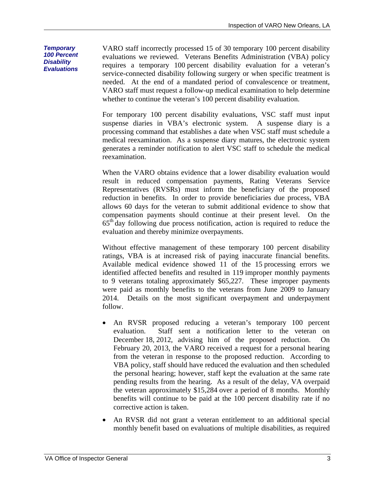*Temporary 100 Percent Disability Evaluations* 

VARO staff incorrectly processed 15 of 30 temporary 100 percent disability evaluations we reviewed. Veterans Benefits Administration (VBA) policy requires a temporary 100 percent disability evaluation for a veteran's service-connected disability following surgery or when specific treatment is needed. At the end of a mandated period of convalescence or treatment, VARO staff must request a follow-up medical examination to help determine whether to continue the veteran's 100 percent disability evaluation.

For temporary 100 percent disability evaluations, VSC staff must input suspense diaries in VBA's electronic system. A suspense diary is a processing command that establishes a date when VSC staff must schedule a medical reexamination. As a suspense diary matures, the electronic system generates a reminder notification to alert VSC staff to schedule the medical reexamination.

When the VARO obtains evidence that a lower disability evaluation would result in reduced compensation payments, Rating Veterans Service Representatives (RVSRs) must inform the beneficiary of the proposed reduction in benefits. In order to provide beneficiaries due process, VBA allows 60 days for the veteran to submit additional evidence to show that compensation payments should continue at their present level. On the 65th day following due process notification, action is required to reduce the evaluation and thereby minimize overpayments.

Without effective management of these temporary 100 percent disability ratings, VBA is at increased risk of paying inaccurate financial benefits. Available medical evidence showed 11 of the 15 processing errors we identified affected benefits and resulted in 119 improper monthly payments to 9 veterans totaling approximately \$65,227. These improper payments were paid as monthly benefits to the veterans from June 2009 to January 2014. Details on the most significant overpayment and underpayment follow.

- An RVSR proposed reducing a veteran's temporary 100 percent evaluation. Staff sent a notification letter to the veteran on December 18, 2012, advising him of the proposed reduction. On February 20, 2013, the VARO received a request for a personal hearing from the veteran in response to the proposed reduction. According to VBA policy, staff should have reduced the evaluation and then scheduled the personal hearing; however, staff kept the evaluation at the same rate pending results from the hearing. As a result of the delay, VA overpaid the veteran approximately \$15,284 over a period of 8 months. Monthly benefits will continue to be paid at the 100 percent disability rate if no corrective action is taken.
- An RVSR did not grant a veteran entitlement to an additional special monthly benefit based on evaluations of multiple disabilities, as required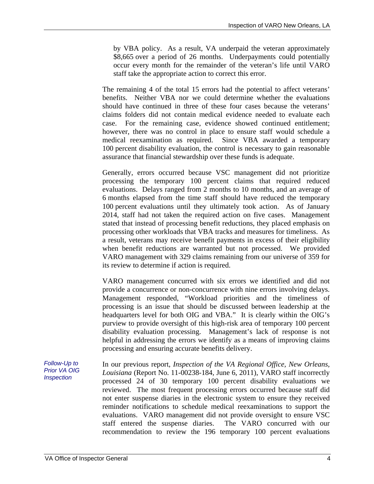by VBA policy. As a result, VA underpaid the veteran approximately \$8,665 over a period of 26 months. Underpayments could potentially occur every month for the remainder of the veteran's life until VARO staff take the appropriate action to correct this error.

The remaining 4 of the total 15 errors had the potential to affect veterans' benefits. Neither VBA nor we could determine whether the evaluations should have continued in three of these four cases because the veterans' claims folders did not contain medical evidence needed to evaluate each case. For the remaining case, evidence showed continued entitlement; however, there was no control in place to ensure staff would schedule a medical reexamination as required. Since VBA awarded a temporary 100 percent disability evaluation, the control is necessary to gain reasonable assurance that financial stewardship over these funds is adequate.

Generally, errors occurred because VSC management did not prioritize processing the temporary 100 percent claims that required reduced evaluations. Delays ranged from 2 months to 10 months, and an average of 6 months elapsed from the time staff should have reduced the temporary 100 percent evaluations until they ultimately took action. As of January 2014, staff had not taken the required action on five cases. Management stated that instead of processing benefit reductions, they placed emphasis on processing other workloads that VBA tracks and measures for timeliness. As a result, veterans may receive benefit payments in excess of their eligibility when benefit reductions are warranted but not processed. We provided VARO management with 329 claims remaining from our universe of 359 for its review to determine if action is required.

VARO management concurred with six errors we identified and did not provide a concurrence or non-concurrence with nine errors involving delays. Management responded, "Workload priorities and the timeliness of processing is an issue that should be discussed between leadership at the headquarters level for both OIG and VBA." It is clearly within the OIG's purview to provide oversight of this high-risk area of temporary 100 percent disability evaluation processing. Management's lack of response is not helpful in addressing the errors we identify as a means of improving claims processing and ensuring accurate benefits delivery.

*Follow-Up to Prior VA OIG Inspection*  In our previous report, *Inspection of the VA Regional Office, New Orleans, Louisiana* (Report No. 11-00238-184, June 6, 2011), VARO staff incorrectly processed 24 of 30 temporary 100 percent disability evaluations we reviewed. The most frequent processing errors occurred because staff did not enter suspense diaries in the electronic system to ensure they received reminder notifications to schedule medical reexaminations to support the evaluations. VARO management did not provide oversight to ensure VSC staff entered the suspense diaries. The VARO concurred with our recommendation to review the 196 temporary 100 percent evaluations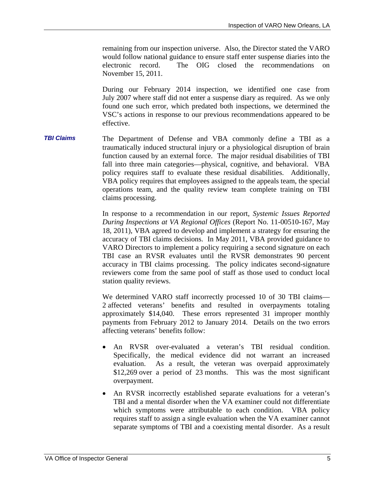remaining from our inspection universe. Also, the Director stated the VARO would follow national guidance to ensure staff enter suspense diaries into the electronic record. The OIG closed the recommendations on November 15, 2011.

During our February 2014 inspection, we identified one case from July 2007 where staff did not enter a suspense diary as required. As we only found one such error, which predated both inspections, we determined the VSC's actions in response to our previous recommendations appeared to be effective.

*TBI Claims*  The Department of Defense and VBA commonly define a TBI as a traumatically induced structural injury or a physiological disruption of brain function caused by an external force. The major residual disabilities of TBI fall into three main categories—physical, cognitive, and behavioral. VBA policy requires staff to evaluate these residual disabilities. Additionally, VBA policy requires that employees assigned to the appeals team, the special operations team, and the quality review team complete training on TBI claims processing.

> accuracy in TBI claims processing. The policy indicates second-signature In response to a recommendation in our report, *Systemic Issues Reported During Inspections at VA Regional Offices* (Report No. 11-00510-167, May 18, 2011), VBA agreed to develop and implement a strategy for ensuring the accuracy of TBI claims decisions. In May 2011, VBA provided guidance to VARO Directors to implement a policy requiring a second signature on each TBI case an RVSR evaluates until the RVSR demonstrates 90 percent reviewers come from the same pool of staff as those used to conduct local station quality reviews.

> We determined VARO staff incorrectly processed 10 of 30 TBI claims— 2 affected veterans' benefits and resulted in overpayments totaling approximately \$14,040. These errors represented 31 improper monthly payments from February 2012 to January 2014. Details on the two errors affecting veterans' benefits follow:

- An RVSR over-evaluated a veteran's TBI residual condition. Specifically, the medical evidence did not warrant an increased evaluation. As a result, the veteran was overpaid approximately \$12,269 over a period of 23 months. This was the most significant overpayment.
- An RVSR incorrectly established separate evaluations for a veteran's TBI and a mental disorder when the VA examiner could not differentiate which symptoms were attributable to each condition. VBA policy requires staff to assign a single evaluation when the VA examiner cannot separate symptoms of TBI and a coexisting mental disorder. As a result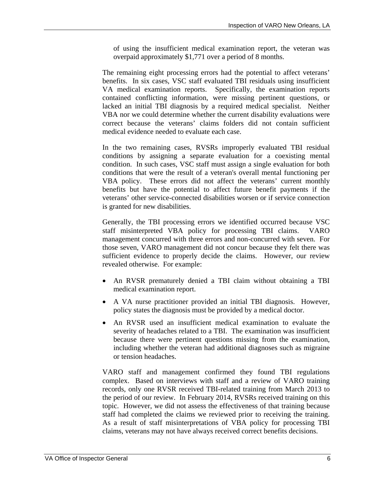of using the insufficient medical examination report, the veteran was overpaid approximately \$1,771 over a period of 8 months.

The remaining eight processing errors had the potential to affect veterans' benefits. In six cases, VSC staff evaluated TBI residuals using insufficient VA medical examination reports. Specifically, the examination reports contained conflicting information, were missing pertinent questions, or lacked an initial TBI diagnosis by a required medical specialist. Neither VBA nor we could determine whether the current disability evaluations were correct because the veterans' claims folders did not contain sufficient medical evidence needed to evaluate each case.

In the two remaining cases, RVSRs improperly evaluated TBI residual conditions by assigning a separate evaluation for a coexisting mental condition. In such cases, VSC staff must assign a single evaluation for both conditions that were the result of a veteran's overall mental functioning per VBA policy. These errors did not affect the veterans' current monthly benefits but have the potential to affect future benefit payments if the veterans' other service-connected disabilities worsen or if service connection is granted for new disabilities.

Generally, the TBI processing errors we identified occurred because VSC staff misinterpreted VBA policy for processing TBI claims. VARO management concurred with three errors and non-concurred with seven. For those seven, VARO management did not concur because they felt there was sufficient evidence to properly decide the claims. However, our review revealed otherwise. For example:

- An RVSR prematurely denied a TBI claim without obtaining a TBI medical examination report.
- A VA nurse practitioner provided an initial TBI diagnosis. However, policy states the diagnosis must be provided by a medical doctor.
- An RVSR used an insufficient medical examination to evaluate the severity of headaches related to a TBI. The examination was insufficient because there were pertinent questions missing from the examination, including whether the veteran had additional diagnoses such as migraine or tension headaches.

VARO staff and management confirmed they found TBI regulations complex. Based on interviews with staff and a review of VARO training records, only one RVSR received TBI-related training from March 2013 to the period of our review. In February 2014, RVSRs received training on this topic. However, we did not assess the effectiveness of that training because staff had completed the claims we reviewed prior to receiving the training. As a result of staff misinterpretations of VBA policy for processing TBI claims, veterans may not have always received correct benefits decisions.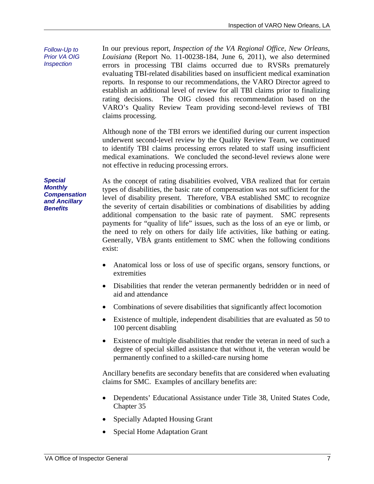In our previous report, *Inspection of the VA Regional Office, New Orleans, Louisiana* (Report No. 11-00238-184, June 6, 2011), we also determined errors in processing TBI claims occurred due to RVSRs prematurely evaluating TBI-related disabilities based on insufficient medical examination reports. In response to our recommendations, the VARO Director agreed to establish an additional level of review for all TBI claims prior to finalizing rating decisions. The OIG closed this recommendation based on the VARO's Quality Review Team providing second-level reviews of TBI claims processing.

Although none of the TBI errors we identified during our current inspection underwent second-level review by the Quality Review Team, we continued to identify TBI claims processing errors related to staff using insufficient medical examinations. We concluded the second-level reviews alone were not effective in reducing processing errors.

the need to rely on others for daily life activities, like bathing or eating. As the concept of rating disabilities evolved, VBA realized that for certain types of disabilities, the basic rate of compensation was not sufficient for the level of disability present. Therefore, VBA established SMC to recognize the severity of certain disabilities or combinations of disabilities by adding additional compensation to the basic rate of payment. SMC represents payments for "quality of life" issues, such as the loss of an eye or limb, or Generally, VBA grants entitlement to SMC when the following conditions exist:

- Anatomical loss or loss of use of specific organs, sensory functions, or extremities
- Disabilities that render the veteran permanently bedridden or in need of aid and attendance
- Combinations of severe disabilities that significantly affect locomotion
- Existence of multiple, independent disabilities that are evaluated as 50 to 100 percent disabling
- Existence of multiple disabilities that render the veteran in need of such a degree of special skilled assistance that without it, the veteran would be permanently confined to a skilled-care nursing home

Ancillary benefits are secondary benefits that are considered when evaluating claims for SMC. Examples of ancillary benefits are:

- Dependents' Educational Assistance under Title 38, United States Code, Chapter 35
- Specially Adapted Housing Grant
- Special Home Adaptation Grant

*Special Monthly Compensation and Ancillary Benefits* 

*Follow-Up to Prior VA OIG Inspection*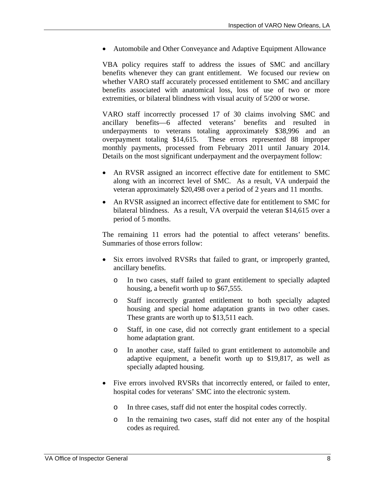Automobile and Other Conveyance and Adaptive Equipment Allowance

VBA policy requires staff to address the issues of SMC and ancillary benefits whenever they can grant entitlement. We focused our review on whether VARO staff accurately processed entitlement to SMC and ancillary benefits associated with anatomical loss, loss of use of two or more extremities, or bilateral blindness with visual acuity of 5/200 or worse.

VARO staff incorrectly processed 17 of 30 claims involving SMC and ancillary benefits—6 affected veterans' benefits and resulted in underpayments to veterans totaling approximately \$38,996 and an overpayment totaling \$14,615. These errors represented 88 improper monthly payments, processed from February 2011 until January 2014. Details on the most significant underpayment and the overpayment follow:

- An RVSR assigned an incorrect effective date for entitlement to SMC along with an incorrect level of SMC. As a result, VA underpaid the veteran approximately \$20,498 over a period of 2 years and 11 months.
- An RVSR assigned an incorrect effective date for entitlement to SMC for bilateral blindness. As a result, VA overpaid the veteran \$14,615 over a period of 5 months.

The remaining 11 errors had the potential to affect veterans' benefits. Summaries of those errors follow:

- Six errors involved RVSRs that failed to grant, or improperly granted, ancillary benefits.
	- o In two cases, staff failed to grant entitlement to specially adapted housing, a benefit worth up to \$67,555.
	- o Staff incorrectly granted entitlement to both specially adapted housing and special home adaptation grants in two other cases. These grants are worth up to \$13,511 each.
	- o Staff, in one case, did not correctly grant entitlement to a special home adaptation grant.
	- o In another case, staff failed to grant entitlement to automobile and adaptive equipment, a benefit worth up to \$19,817, as well as specially adapted housing.
- Five errors involved RVSRs that incorrectly entered, or failed to enter, hospital codes for veterans' SMC into the electronic system.
	- o In three cases, staff did not enter the hospital codes correctly.
	- o In the remaining two cases, staff did not enter any of the hospital codes as required.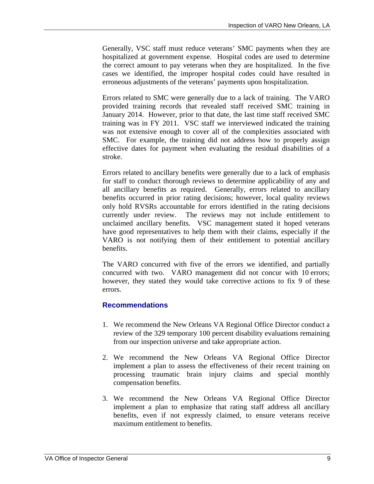<span id="page-12-0"></span>Generally, VSC staff must reduce veterans' SMC payments when they are hospitalized at government expense. Hospital codes are used to determine the correct amount to pay veterans when they are hospitalized. In the five cases we identified, the improper hospital codes could have resulted in erroneous adjustments of the veterans' payments upon hospitalization.

Errors related to SMC were generally due to a lack of training. The VARO provided training records that revealed staff received SMC training in January 2014. However, prior to that date, the last time staff received SMC training was in FY 2011. VSC staff we interviewed indicated the training was not extensive enough to cover all of the complexities associated with SMC. For example, the training did not address how to properly assign effective dates for payment when evaluating the residual disabilities of a stroke.

Errors related to ancillary benefits were generally due to a lack of emphasis for staff to conduct thorough reviews to determine applicability of any and all ancillary benefits as required. Generally, errors related to ancillary benefits occurred in prior rating decisions; however, local quality reviews only hold RVSRs accountable for errors identified in the rating decisions currently under review. The reviews may not include entitlement to unclaimed ancillary benefits. VSC management stated it hoped veterans have good representatives to help them with their claims, especially if the VARO is not notifying them of their entitlement to potential ancillary benefits.

The VARO concurred with five of the errors we identified, and partially concurred with two. VARO management did not concur with 10 errors; however, they stated they would take corrective actions to fix 9 of these errors.

#### **Recommendations**

- 1. We recommend the New Orleans VA Regional Office Director conduct a review of the 329 temporary 100 percent disability evaluations remaining from our inspection universe and take appropriate action.
- 2. We recommend the New Orleans VA Regional Office Director implement a plan to assess the effectiveness of their recent training on processing traumatic brain injury claims and special monthly compensation benefits.
- 3. We recommend the New Orleans VA Regional Office Director implement a plan to emphasize that rating staff address all ancillary benefits, even if not expressly claimed, to ensure veterans receive maximum entitlement to benefits.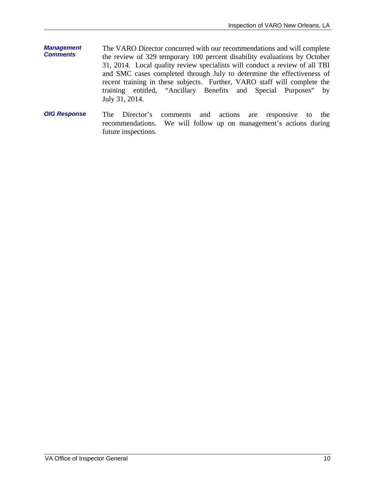- *Management Comments*  The VARO Director concurred with our recommendations and will complete the review of 329 temporary 100 percent disability evaluations by October 31, 2014. Local quality review specialists will conduct a review of all TBI and SMC cases completed through July to determine the effectiveness of recent training in these subjects. Further, VARO staff will complete the training entitled, "Ancillary Benefits and Special Purposes" by July 31, 2014.
- *OIG Response*  The Director's comments and actions are responsive to the recommendations. We will follow up on management's actions during future inspections.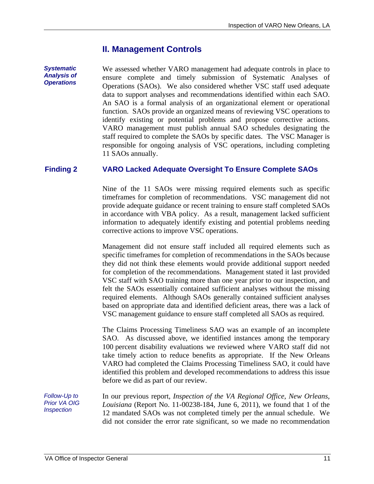## **II. Management Controls**

<span id="page-14-0"></span>*Systematic Analysis of Operations* 

We assessed whether VARO management had adequate controls in place to ensure complete and timely submission of Systematic Analyses of Operations (SAOs). We also considered whether VSC staff used adequate data to support analyses and recommendations identified within each SAO. An SAO is a formal analysis of an organizational element or operational function. SAOs provide an organized means of reviewing VSC operations to identify existing or potential problems and propose corrective actions. VARO management must publish annual SAO schedules designating the staff required to complete the SAOs by specific dates. The VSC Manager is responsible for ongoing analysis of VSC operations, including completing 11 SAOs annually.

#### **Finding 2 VARO Lacked Adequate Oversight To Ensure Complete SAOs**

Nine of the 11 SAOs were missing required elements such as specific timeframes for completion of recommendations. VSC management did not provide adequate guidance or recent training to ensure staff completed SAOs in accordance with VBA policy. As a result, management lacked sufficient information to adequately identify existing and potential problems needing corrective actions to improve VSC operations.

Management did not ensure staff included all required elements such as specific timeframes for completion of recommendations in the SAOs because they did not think these elements would provide additional support needed for completion of the recommendations. Management stated it last provided VSC staff with SAO training more than one year prior to our inspection, and felt the SAOs essentially contained sufficient analyses without the missing required elements. Although SAOs generally contained sufficient analyses based on appropriate data and identified deficient areas, there was a lack of VSC management guidance to ensure staff completed all SAOs as required.

The Claims Processing Timeliness SAO was an example of an incomplete SAO. As discussed above, we identified instances among the temporary 100 percent disability evaluations we reviewed where VARO staff did not take timely action to reduce benefits as appropriate. If the New Orleans VARO had completed the Claims Processing Timeliness SAO, it could have identified this problem and developed recommendations to address this issue before we did as part of our review.

*Follow-Up to Prior VA OIG Inspection* 

In our previous report, *Inspection of the VA Regional Office, New Orleans, Louisiana* (Report No. 11-00238-184, June 6, 2011), we found that 1 of the 12 mandated SAOs was not completed timely per the annual schedule. We did not consider the error rate significant, so we made no recommendation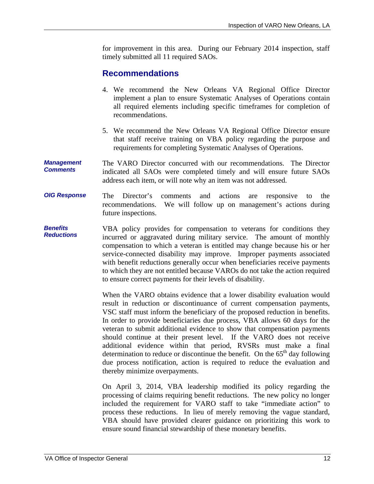<span id="page-15-0"></span>for improvement in this area. During our February 2014 inspection, staff timely submitted all 11 required SAOs.

## **Recommendations**

- 4. We recommend the New Orleans VA Regional Office Director implement a plan to ensure Systematic Analyses of Operations contain all required elements including specific timeframes for completion of recommendations.
- 5. We recommend the New Orleans VA Regional Office Director ensure that staff receive training on VBA policy regarding the purpose and requirements for completing Systematic Analyses of Operations.
- *Management Comments*  The VARO Director concurred with our recommendations. The Director indicated all SAOs were completed timely and will ensure future SAOs address each item, or will note why an item was not addressed.
- *OIG Response*  The Director's comments and actions are responsive to the recommendations. We will follow up on management's actions during future inspections.
- *Benefits Reductions*  VBA policy provides for compensation to veterans for conditions they incurred or aggravated during military service. The amount of monthly compensation to which a veteran is entitled may change because his or her service-connected disability may improve. Improper payments associated with benefit reductions generally occur when beneficiaries receive payments to which they are not entitled because VAROs do not take the action required to ensure correct payments for their levels of disability.

When the VARO obtains evidence that a lower disability evaluation would result in reduction or discontinuance of current compensation payments, VSC staff must inform the beneficiary of the proposed reduction in benefits. In order to provide beneficiaries due process, VBA allows 60 days for the veteran to submit additional evidence to show that compensation payments should continue at their present level. If the VARO does not receive additional evidence within that period, RVSRs must make a final determination to reduce or discontinue the benefit. On the  $65<sup>th</sup>$  day following due process notification, action is required to reduce the evaluation and thereby minimize overpayments.

On April 3, 2014, VBA leadership modified its policy regarding the processing of claims requiring benefit reductions. The new policy no longer included the requirement for VARO staff to take "immediate action" to process these reductions. In lieu of merely removing the vague standard, VBA should have provided clearer guidance on prioritizing this work to ensure sound financial stewardship of these monetary benefits.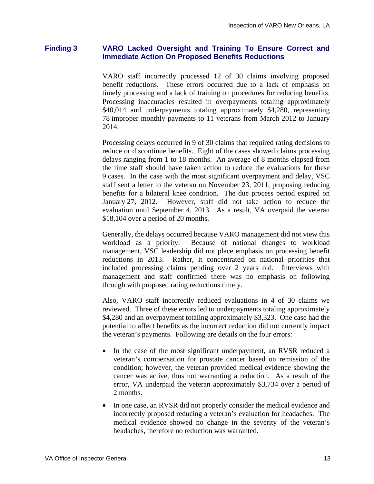#### <span id="page-16-0"></span>**Finding 3 VARO Lacked Oversight and Training To Ensure Correct and Immediate Action On Proposed Benefits Reductions**

VARO staff incorrectly processed 12 of 30 claims involving proposed benefit reductions. These errors occurred due to a lack of emphasis on timely processing and a lack of training on procedures for reducing benefits. Processing inaccuracies resulted in overpayments totaling approximately \$40,014 and underpayments totaling approximately \$4,280, representing 78 improper monthly payments to 11 veterans from March 2012 to January 2014.

Processing delays occurred in 9 of 30 claims that required rating decisions to reduce or discontinue benefits. Eight of the cases showed claims processing delays ranging from 1 to 18 months. An average of 8 months elapsed from the time staff should have taken action to reduce the evaluations for these 9 cases. In the case with the most significant overpayment and delay, VSC staff sent a letter to the veteran on November 23, 2011, proposing reducing benefits for a bilateral knee condition. The due process period expired on January 27, 2012. However, staff did not take action to reduce the evaluation until September 4, 2013. As a result, VA overpaid the veteran \$18,104 over a period of 20 months.

Generally, the delays occurred because VARO management did not view this workload as a priority. Because of national changes to workload management, VSC leadership did not place emphasis on processing benefit reductions in 2013. Rather, it concentrated on national priorities that included processing claims pending over 2 years old. Interviews with management and staff confirmed there was no emphasis on following through with proposed rating reductions timely.

Also, VARO staff incorrectly reduced evaluations in 4 of 30 claims we reviewed. Three of these errors led to underpayments totaling approximately \$4,280 and an overpayment totaling approximately \$3,323. One case had the potential to affect benefits as the incorrect reduction did not currently impact the veteran's payments. Following are details on the four errors:

- In the case of the most significant underpayment, an RVSR reduced a veteran's compensation for prostate cancer based on remission of the condition; however, the veteran provided medical evidence showing the cancer was active, thus not warranting a reduction. As a result of the error, VA underpaid the veteran approximately \$3,734 over a period of 2 months.
- In one case, an RVSR did not properly consider the medical evidence and incorrectly proposed reducing a veteran's evaluation for headaches. The medical evidence showed no change in the severity of the veteran's headaches, therefore no reduction was warranted.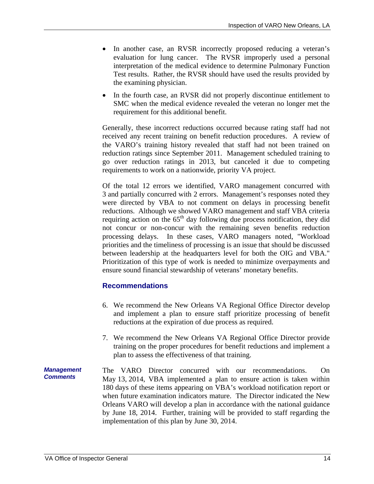- <span id="page-17-0"></span>• In another case, an RVSR incorrectly proposed reducing a veteran's evaluation for lung cancer. The RVSR improperly used a personal interpretation of the medical evidence to determine Pulmonary Function Test results. Rather, the RVSR should have used the results provided by the examining physician.
- In the fourth case, an RVSR did not properly discontinue entitlement to SMC when the medical evidence revealed the veteran no longer met the requirement for this additional benefit.

Generally, these incorrect reductions occurred because rating staff had not received any recent training on benefit reduction procedures. A review of the VARO's training history revealed that staff had not been trained on reduction ratings since September 2011. Management scheduled training to go over reduction ratings in 2013, but canceled it due to competing requirements to work on a nationwide, priority VA project.

Of the total 12 errors we identified, VARO management concurred with 3 and partially concurred with 2 errors. Management's responses noted they were directed by VBA to not comment on delays in processing benefit reductions. Although we showed VARO management and staff VBA criteria requiring action on the  $65<sup>th</sup>$  day following due process notification, they did not concur or non-concur with the remaining seven benefits reduction processing delays. In these cases, VARO managers noted, "Workload priorities and the timeliness of processing is an issue that should be discussed between leadership at the headquarters level for both the OIG and VBA." Prioritization of this type of work is needed to minimize overpayments and ensure sound financial stewardship of veterans' monetary benefits.

#### **Recommendations**

- 6. We recommend the New Orleans VA Regional Office Director develop and implement a plan to ensure staff prioritize processing of benefit reductions at the expiration of due process as required.
- 7. We recommend the New Orleans VA Regional Office Director provide training on the proper procedures for benefit reductions and implement a plan to assess the effectiveness of that training.
- *Management Comments*  The VARO Director concurred with our recommendations. On May 13, 2014, VBA implemented a plan to ensure action is taken within 180 days of these items appearing on VBA's workload notification report or when future examination indicators mature. The Director indicated the New Orleans VARO will develop a plan in accordance with the national guidance by June 18, 2014. Further, training will be provided to staff regarding the implementation of this plan by June 30, 2014.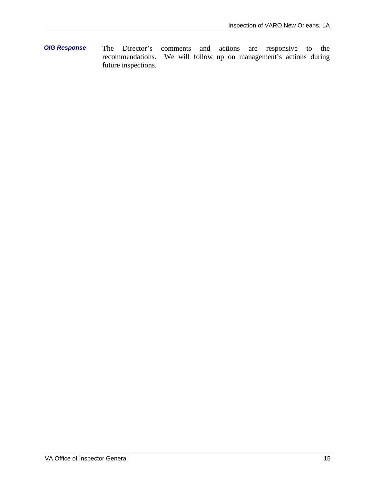*OIG Response* The Director's comments and actions are responsive to the recommendations. We will follow up on management's actions during future inspections.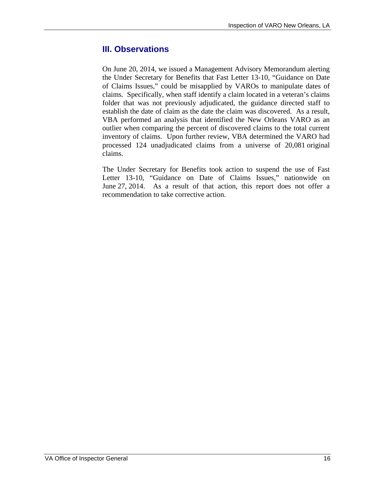## <span id="page-19-0"></span>**III. Observations**

On June 20, 2014, we issued a Management Advisory Memorandum alerting the Under Secretary for Benefits that Fast Letter 13-10, "Guidance on Date of Claims Issues," could be misapplied by VAROs to manipulate dates of claims. Specifically, when staff identify a claim located in a veteran's claims folder that was not previously adjudicated, the guidance directed staff to establish the date of claim as the date the claim was discovered. As a result, VBA performed an analysis that identified the New Orleans VARO as an outlier when comparing the percent of discovered claims to the total current inventory of claims. Upon further review, VBA determined the VARO had processed 124 unadjudicated claims from a universe of 20,081 original claims.

The Under Secretary for Benefits took action to suspend the use of Fast Letter 13-10, "Guidance on Date of Claims Issues," nationwide on June 27, 2014. As a result of that action, this report does not offer a recommendation to take corrective action.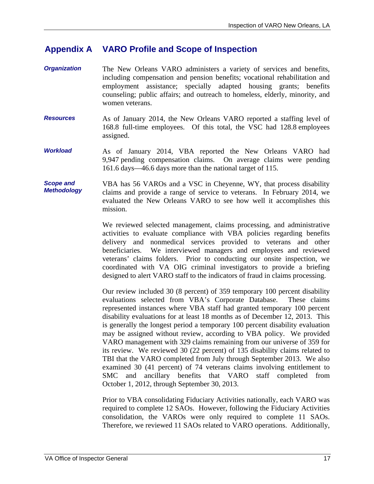#### <span id="page-20-0"></span>**Appendix A VARO Profile and Scope of Inspection**

- *Organization*  The New Orleans VARO administers a variety of services and benefits, including compensation and pension benefits; vocational rehabilitation and employment assistance; specially adapted housing grants; benefits counseling; public affairs; and outreach to homeless, elderly, minority, and women veterans.
- *Resources*  As of January 2014, the New Orleans VARO reported a staffing level of 168.8 full-time employees. Of this total, the VSC had 128.8 employees assigned.
- *Workload*  As of January 2014, VBA reported the New Orleans VARO had 9,947 pending compensation claims. On average claims were pending 161.6 days—46.6 days more than the national target of 115.

#### *Scope and Methodology*  VBA has 56 VAROs and a VSC in Cheyenne, WY, that process disability claims and provide a range of service to veterans. In February 2014, we evaluated the New Orleans VARO to see how well it accomplishes this mission.

We reviewed selected management, claims processing, and administrative activities to evaluate compliance with VBA policies regarding benefits delivery and nonmedical services provided to veterans and other beneficiaries. We interviewed managers and employees and reviewed veterans' claims folders. Prior to conducting our onsite inspection, we coordinated with VA OIG criminal investigators to provide a briefing designed to alert VARO staff to the indicators of fraud in claims processing.

Our review included 30 (8 percent) of 359 temporary 100 percent disability evaluations selected from VBA's Corporate Database. These claims represented instances where VBA staff had granted temporary 100 percent disability evaluations for at least 18 months as of December 12, 2013. This is generally the longest period a temporary 100 percent disability evaluation may be assigned without review, according to VBA policy. We provided VARO management with 329 claims remaining from our universe of 359 for its review. We reviewed 30 (22 percent) of 135 disability claims related to TBI that the VARO completed from July through September 2013. We also examined 30 (41 percent) of 74 veterans claims involving entitlement to SMC and ancillary benefits that VARO staff completed from October 1, 2012, through September 30, 2013.

Prior to VBA consolidating Fiduciary Activities nationally, each VARO was required to complete 12 SAOs. However, following the Fiduciary Activities consolidation, the VAROs were only required to complete 11 SAOs. Therefore, we reviewed 11 SAOs related to VARO operations. Additionally,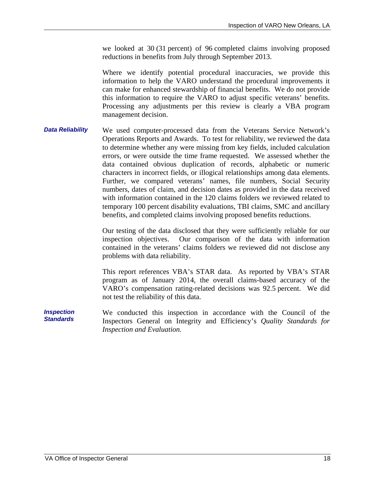we looked at 30 (31 percent) of 96 completed claims involving proposed reductions in benefits from July through September 2013.

Where we identify potential procedural inaccuracies, we provide this information to help the VARO understand the procedural improvements it can make for enhanced stewardship of financial benefits. We do not provide this information to require the VARO to adjust specific veterans' benefits. Processing any adjustments per this review is clearly a VBA program management decision.

*Data Reliability*  We used computer-processed data from the Veterans Service Network's Operations Reports and Awards. To test for reliability, we reviewed the data to determine whether any were missing from key fields, included calculation errors, or were outside the time frame requested. We assessed whether the data contained obvious duplication of records, alphabetic or numeric characters in incorrect fields, or illogical relationships among data elements. Further, we compared veterans' names, file numbers, Social Security numbers, dates of claim, and decision dates as provided in the data received with information contained in the 120 claims folders we reviewed related to temporary 100 percent disability evaluations, TBI claims, SMC and ancillary benefits, and completed claims involving proposed benefits reductions.

> Our testing of the data disclosed that they were sufficiently reliable for our inspection objectives. Our comparison of the data with information contained in the veterans' claims folders we reviewed did not disclose any problems with data reliability.

> This report references VBA's STAR data. As reported by VBA's STAR program as of January 2014, the overall claims-based accuracy of the VARO's compensation rating-related decisions was 92.5 percent. We did not test the reliability of this data.

*Inspection Standards*  We conducted this inspection in accordance with the Council of the Inspectors General on Integrity and Efficiency's *Quality Standards for Inspection and Evaluation.*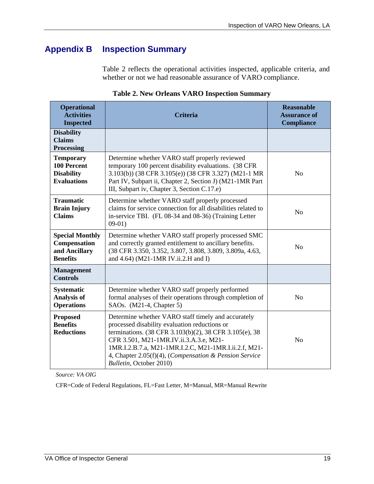# <span id="page-22-0"></span>**Appendix B Inspection Summary**

Table 2 reflects the operational activities inspected, applicable criteria, and whether or not we had reasonable assurance of VARO compliance.

| <b>Operational</b><br><b>Activities</b><br><b>Inspected</b>                | <b>Criteria</b>                                                                                                                                                                                                                                                                                                                                      | <b>Reasonable</b><br><b>Assurance of</b><br><b>Compliance</b> |
|----------------------------------------------------------------------------|------------------------------------------------------------------------------------------------------------------------------------------------------------------------------------------------------------------------------------------------------------------------------------------------------------------------------------------------------|---------------------------------------------------------------|
| <b>Disability</b><br><b>Claims</b><br><b>Processing</b>                    |                                                                                                                                                                                                                                                                                                                                                      |                                                               |
| <b>Temporary</b><br>100 Percent<br><b>Disability</b><br><b>Evaluations</b> | Determine whether VARO staff properly reviewed<br>temporary 100 percent disability evaluations. (38 CFR<br>3.103(b)) (38 CFR 3.105(e)) (38 CFR 3.327) (M21-1 MR<br>Part IV, Subpart ii, Chapter 2, Section J) (M21-1MR Part<br>III, Subpart iv, Chapter 3, Section C.17.e)                                                                           | No                                                            |
| <b>Traumatic</b><br><b>Brain Injury</b><br><b>Claims</b>                   | Determine whether VARO staff properly processed<br>claims for service connection for all disabilities related to<br>in-service TBI. (FL 08-34 and 08-36) (Training Letter<br>$09-01)$                                                                                                                                                                | N <sub>o</sub>                                                |
| <b>Special Monthly</b><br>Compensation<br>and Ancillary<br><b>Benefits</b> | Determine whether VARO staff properly processed SMC<br>and correctly granted entitlement to ancillary benefits.<br>(38 CFR 3.350, 3.352, 3.807, 3.808, 3.809, 3.809a, 4.63,<br>and 4.64) (M21-1MR IV.ii.2.H and I)                                                                                                                                   | No                                                            |
| <b>Management</b><br><b>Controls</b>                                       |                                                                                                                                                                                                                                                                                                                                                      |                                                               |
| <b>Systematic</b><br><b>Analysis of</b><br><b>Operations</b>               | Determine whether VARO staff properly performed<br>formal analyses of their operations through completion of<br>SAOs. (M21-4, Chapter 5)                                                                                                                                                                                                             | No                                                            |
| <b>Proposed</b><br><b>Benefits</b><br><b>Reductions</b>                    | Determine whether VARO staff timely and accurately<br>processed disability evaluation reductions or<br>terminations. (38 CFR 3.103(b)(2), 38 CFR 3.105(e), 38<br>CFR 3.501, M21-1MR.IV.ii.3.A.3.e, M21-<br>1MR.I.2.B.7.a, M21-1MR.I.2.C, M21-1MR.I.ii.2.f, M21-<br>4, Chapter 2.05(f)(4), (Compensation & Pension Service<br>Bulletin, October 2010) | N <sub>o</sub>                                                |

**Table 2. New Orleans VARO Inspection Summary** 

*Source: VA OIG* 

CFR=Code of Federal Regulations, FL=Fast Letter, M=Manual, MR=Manual Rewrite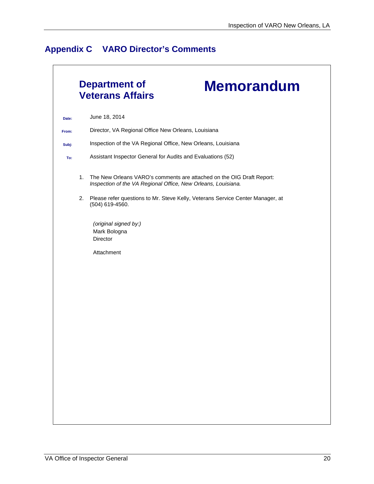# <span id="page-23-0"></span>**Appendix C VARO Director's Comments**

|       |    | <b>Department of</b><br><b>Memorandum</b><br><b>Veterans Affairs</b>                                                                   |
|-------|----|----------------------------------------------------------------------------------------------------------------------------------------|
| Date: |    | June 18, 2014                                                                                                                          |
| From: |    | Director, VA Regional Office New Orleans, Louisiana                                                                                    |
| Subj: |    | Inspection of the VA Regional Office, New Orleans, Louisiana                                                                           |
| To:   |    | Assistant Inspector General for Audits and Evaluations (52)                                                                            |
|       | 1. | The New Orleans VARO's comments are attached on the OIG Draft Report:<br>Inspection of the VA Regional Office, New Orleans, Louisiana. |
|       | 2. | Please refer questions to Mr. Steve Kelly, Veterans Service Center Manager, at<br>(504) 619-4560.                                      |
|       |    | (original signed by:)<br>Mark Bologna<br>Director                                                                                      |
|       |    | Attachment                                                                                                                             |
|       |    |                                                                                                                                        |
|       |    |                                                                                                                                        |
|       |    |                                                                                                                                        |
|       |    |                                                                                                                                        |
|       |    |                                                                                                                                        |
|       |    |                                                                                                                                        |
|       |    |                                                                                                                                        |
|       |    |                                                                                                                                        |
|       |    |                                                                                                                                        |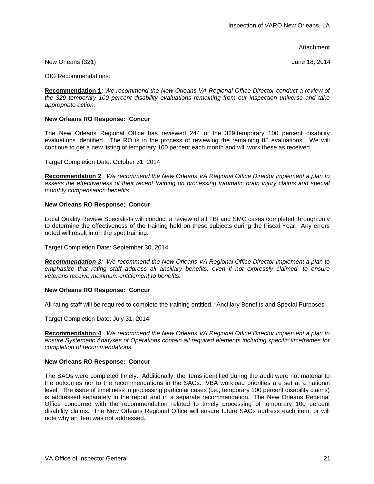Attachment

New Orleans (321) **New Orleans** (321)

OIG Recommendations:

**Recommendation 1**: *We recommend the New Orleans VA Regional Office Director conduct a review of the 329 temporary 100 percent disability evaluations remaining from our inspection universe and take appropriate action.* 

#### **New Orleans RO Response: Concur**

The New Orleans Regional Office has reviewed 244 of the 329 temporary 100 percent disability evaluations identified. The RO is in the process of reviewing the remaining 85 evaluations. We will continue to get a new listing of temporary 100 percent each month and will work these as received.

Target Completion Date: October 31, 2014

**Recommendation 2**: *We recommend the New Orleans VA Regional Office Director implement a plan to*  assess the effectiveness of their recent training on processing traumatic brain injury claims and special *monthly compensation benefits.* 

#### **New Orleans RO Response: Concur**

Local Quality Review Specialists will conduct a review of all TBI and SMC cases completed through July to determine the effectiveness of the training held on these subjects during the Fiscal Year. Any errors noted will result in on the spot training.

Target Completion Date: September 30, 2014

*Recommendation 3: We recommend the New Orleans VA Regional Office Director implement a plan to emphasize that rating staff address all ancillary benefits, even if not expressly claimed, to ensure veterans receive maximum entitlement to benefits.* 

#### **New Orleans RO Response: Concur**

All rating staff will be required to complete the training entitled, "Ancillary Benefits and Special Purposes"

Target Completion Date: July 31, 2014

 **Recommendation 4**: *We recommend the New Orleans VA Regional Office Director implement a plan to ensure Systematic Analyses of Operations contain all required elements including specific timeframes for completion of recommendations.* 

#### **New Orleans RO Response: Concur**

The SAOs were completed timely. Additionally, the items identified during the audit were not material to the outcomes nor to the recommendations in the SAOs. VBA workload priorities are set at a national level. The issue of timeliness in processing particular cases (i.e., temporary 100 percent disability claims) is addressed separately in the report and in a separate recommendation. The New Orleans Regional Office concurred with the recommendation related to timely processing of temporary 100 percent disability claims. The New Orleans Regional Office will ensure future SAOs address each item, or will note why an item was not addressed.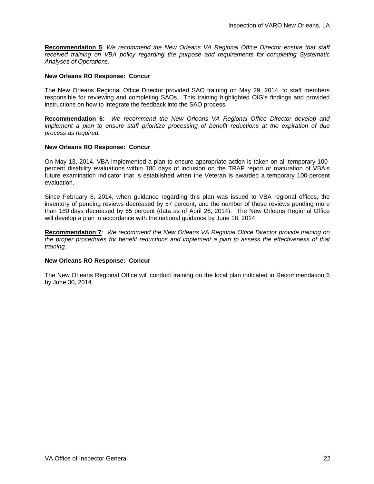**Recommendation 5**: *We recommend the New Orleans VA Regional Office Director ensure that staff received training on VBA policy regarding the purpose and requirements for completing Systematic Analyses of Operations.* 

#### **New Orleans RO Response: Concur**

The New Orleans Regional Office Director provided SAO training on May 29, 2014, to staff members responsible for reviewing and completing SAOs. This training highlighted OIG's findings and provided instructions on how to integrate the feedback into the SAO process.

**Recommendation 6**: *We recommend the New Orleans VA Regional Office Director develop and implement a plan to ensure staff prioritize processing of benefit reductions at the expiration of due process as required.* 

#### **New Orleans RO Response: Concur**

On May 13, 2014, VBA implemented a plan to ensure appropriate action is taken on all temporary 100 percent disability evaluations within 180 days of inclusion on the TRAP report or maturation of VBA's future examination indicator that is established when the Veteran is awarded a temporary 100-percent evaluation.

Since February 6, 2014, when guidance regarding this plan was issued to VBA regional offices, the inventory of pending reviews decreased by 57 percent, and the number of these reviews pending more than 180 days decreased by 65 percent (data as of April 26, 2014). The New Orleans Regional Office will develop a plan in accordance with the national guidance by June 18, 2014

**Recommendation 7**: *We recommend the New Orleans VA Regional Office Director provide training on the proper procedures for benefit reductions and implement a plan to assess the effectiveness of that training.* 

#### **New Orleans RO Response: Concur**

The New Orleans Regional Office will conduct training on the local plan indicated in Recommendation 6 by June 30, 2014.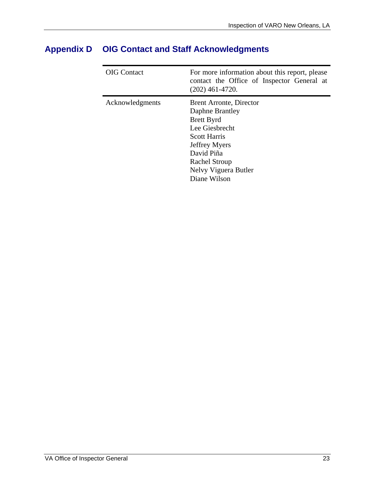| <b>OIG</b> Contact | For more information about this report, please<br>contact the Office of Inspector General at<br>$(202)$ 461-4720.                                                                                                     |
|--------------------|-----------------------------------------------------------------------------------------------------------------------------------------------------------------------------------------------------------------------|
| Acknowledgments    | <b>Brent Arronte, Director</b><br>Daphne Brantley<br><b>Brett Byrd</b><br>Lee Giesbrecht<br><b>Scott Harris</b><br><b>Jeffrey Myers</b><br>David Piña<br><b>Rachel Stroup</b><br>Nelvy Viguera Butler<br>Diane Wilson |

# <span id="page-26-0"></span>**Appendix D OIG Contact and Staff Acknowledgments**